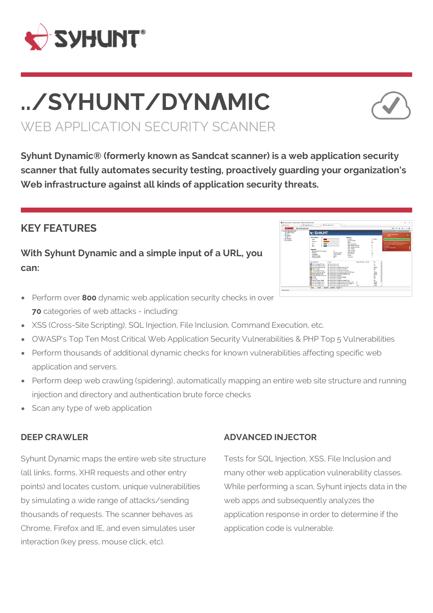

# **../SYHUNT/DYNΛMIC** WEB APPLICATION SECURITY SCANNER



**Syhunt Dynamic® (formerly known as Sandcat scanner) is a web application security scanner that fully automates security testing, proactively guarding your organization's Web infrastructure against all kinds of application security threats.**

## **KEY FEATURES**

**With Syhunt Dynamic and a simple input of a URL, you can:**



- **•** Perform over **800** dynamic web application security checks in over **70** categories of web attacks - including:
- XSS (Cross-Site Scripting), SQL Injection, File Inclusion, Command Execution, etc.
- OWASP's Top Ten Most Critical Web Application Security Vulnerabilities & PHP Top 5 Vulnerabilities
- Perform thousands of additional dynamic checks for known vulnerabilities affecting specific web application and servers.
- Perform deep web crawling (spidering), automatically mapping an entire web site structure and running injection and directory and authentication brute force checks
- Scan any type of web application

## **DEEP CRAWLER**

Syhunt Dynamic maps the entire web site structure (all links, forms, XHR requests and other entry points) and locates custom, unique vulnerabilities by simulating a wide range of attacks/sending thousands of requests. The scanner behaves as Chrome, Firefox and IE, and even simulates user interaction (key press, mouse click, etc).

#### **ADVANCED INJECTOR**

Tests for SQL Injection, XSS, File Inclusion and many other web application vulnerability classes. While performing a scan, Syhunt injects data in the web apps and subsequently analyzes the application response in order to determine if the application code is vulnerable.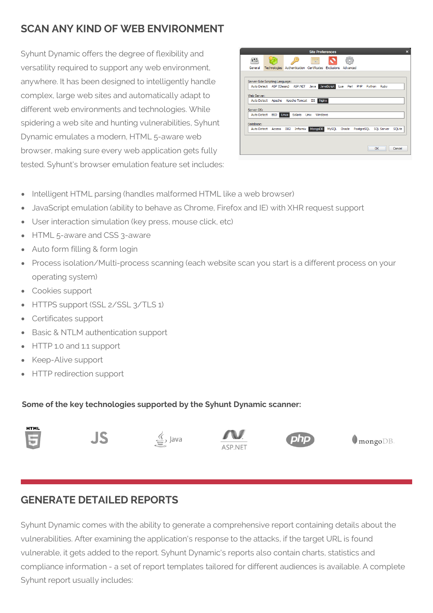## **SCAN ANY KIND OF WEB ENVIRONMENT**

Syhunt Dynamic offers the degree of flexibility and versatility required to support any web environment, anywhere. It has been designed to intelligently handle complex, large web sites and automatically adapt to different web environments and technologies. While spidering a web site and hunting vulnerabilities, Syhunt Dynamic emulates a modern, HTML 5-aware web browser, making sure every web application gets fully tested. Syhunt's browser emulation feature set includes:

| <b>Site Preferences</b>                       |                                 |                                                                                      |                     |
|-----------------------------------------------|---------------------------------|--------------------------------------------------------------------------------------|---------------------|
| 750                                           |                                 | $\overline{a}$                                                                       |                     |
| General                                       |                                 | Technologies Authentication Certificates Exclusions Advanced                         |                     |
|                                               |                                 |                                                                                      |                     |
|                                               | Server-Side Scripting Language: | Auto Detect ASP (Classic) ASP.NET Java JavaScript Lua Perl PHP Python Ruby           |                     |
| Web Server:                                   |                                 |                                                                                      |                     |
| Auto Detect Apache Apache Tomcat IIS<br>Nginx |                                 |                                                                                      |                     |
| Server OS:                                    |                                 |                                                                                      |                     |
|                                               |                                 | Auto Detect BSD Linux Solaris Unix Windows                                           |                     |
| Database:                                     |                                 |                                                                                      |                     |
|                                               |                                 | Auto Detect Access DB2 Informix MongoDB<br>MySQL Oracle PostgreSQL SQL Server SQLite |                     |
|                                               |                                 |                                                                                      |                     |
|                                               |                                 |                                                                                      |                     |
|                                               |                                 |                                                                                      | <b>OK</b><br>Cancel |
|                                               |                                 |                                                                                      |                     |

- Intelligent HTML parsing (handles malformed HTML like a web browser)
- JavaScript emulation (ability to behave as Chrome, Firefox and IE) with XHR request support
- User interaction simulation (key press, mouse click, etc)
- HTML 5-aware and CSS 3-aware  $\bullet$
- Auto form filling & form login
- Process isolation/Multi-process scanning (each website scan you start is a different process on your operating system)
- Cookies support
- HTTPS support (SSL 2/SSL 3/TLS 1)  $\bullet$
- Certificates support
- Basic & NTLM authentication support  $\bullet$
- HTTP 1.0 and 1.1 support  $\bullet$
- Keep-Alive support
- HTTP redirection support

#### **Some of the key technologies supported by the Syhunt Dynamic scanner:**











 $\blacksquare$ mongo $DB$ 

## **GENERATE DETAILED REPORTS**

Syhunt Dynamic comes with the ability to generate a comprehensive report containing details about the vulnerabilities. After examining the application's response to the attacks, if the target URL is found vulnerable, it gets added to the report. Syhunt Dynamic's reports also contain charts, statistics and compliance information - a set of report templates tailored for different audiences is available. A complete Syhunt report usually includes: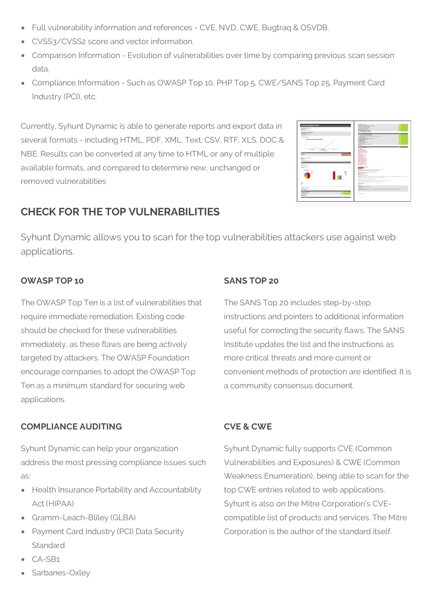- Full vulnerability information and references CVE, NVD, CWE, Bugtraq & OSVDB.
- CVSS3/CVSS2 score and vector information.
- Comparison Information Evolution of vulnerabilities over time by comparing previous scan session data.
- Compliance Information Such as OWASP Top 10, PHP Top 5, CWE/SANS Top 25, Payment Card Industry (PCI), etc.

Currently, Syhunt Dynamic is able to generate reports and export data in several formats - including HTML, PDF, XML, Text, CSV, RTF, XLS, DOC & NBE. Results can be converted at any time to HTML or any of multiple available formats, and compared to determine new, unchanged or removed vulnerabilities



## **CHECK FOR THE TOP VULNERABILITIES**

Syhunt Dynamic allows you to scan for the top vulnerabilities attackers use against web applications.

#### **OWASP TOP 10**

The OWASP Top Ten is a list of vulnerabilities that require immediate remediation. Existing code should be checked for these vulnerabilities immediately, as these flaws are being actively targeted by attackers. The OWASP Foundation encourage companies to adopt the OWASP Top Ten as a minimum standard for securing web applications.

## **COMPLIANCE AUDITING**

Syhunt Dynamic can help your organization address the most pressing compliance issues such as:

- Health Insurance Portability and Accountability Act (HIPAA)
- Gramm-Leach-Bliley (GLBA)
- Payment Card Industry (PCI) Data Security Standard
- CA-SB1
- Sarbanes-Oxley

## **SANS TOP 20**

The SANS Top 20 includes step-by-step instructions and pointers to additional information useful for correcting the security flaws. The SANS Institute updates the list and the instructions as more critical threats and more current or convenient methods of protection are identified. It is a community consensus document.

## **CVE & CWE**

Syhunt Dynamic fully supports CVE (Common Vulnerabilities and Exposures) & CWE (Common Weakness Enumeration), being able to scan for the top CWE entries related to web applications. Syhunt is also on the Mitre Corporation's CVEcompatible list of products and services. The Mitre Corporation is the author of the standard itself.